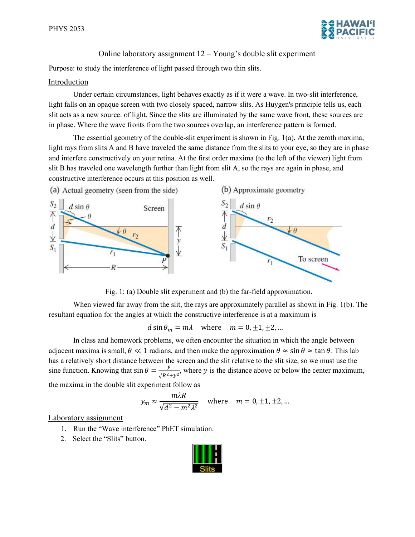

## Online laboratory assignment 12 – Young's double slit experiment

Purpose: to study the interference of light passed through two thin slits.

## Introduction

Under certain circumstances, light behaves exactly as if it were a wave. In two-slit interference, light falls on an opaque screen with two closely spaced, narrow slits. As Huygen's principle tells us, each slit acts as a new source. of light. Since the slits are illuminated by the same wave front, these sources are in phase. Where the wave fronts from the two sources overlap, an interference pattern is formed.

The essential geometry of the double-slit experiment is shown in Fig. 1(a). At the zeroth maxima, light rays from slits A and B have traveled the same distance from the slits to your eye, so they are in phase and interfere constructively on your retina. At the first order maxima (to the left of the viewer) light from slit B has traveled one wavelength further than light from slit A, so the rays are again in phase, and constructive interference occurs at this position as well.



Fig. 1: (a) Double slit experiment and (b) the far-field approximation.

When viewed far away from the slit, the rays are approximately parallel as shown in Fig. 1(b). The resultant equation for the angles at which the constructive interference is at a maximum is

 $d \sin \theta_m = m\lambda$  where  $m = 0, \pm 1, \pm 2, ...$ 

In class and homework problems, we often encounter the situation in which the angle between adjacent maxima is small,  $\theta \ll 1$  radians, and then make the approximation  $\theta \approx \sin \theta \approx \tan \theta$ . This lab has a relatively short distance between the screen and the slit relative to the slit size, so we must use the sine function. Knowing that  $\sin \theta = \frac{y}{\sqrt{2}}$  $\frac{y}{\sqrt{R^2+y^2}}$ , where y is the distance above or below the center maximum, the maxima in the double slit experiment follow as

$$
y_m \approx \frac{m\lambda R}{\sqrt{d^2 - m^2\lambda^2}}
$$
 where  $m = 0, \pm 1, \pm 2, ...$ 

## Laboratory assignment

- 1. Run the "Wave interference" PhET simulation.
- 2. Select the "Slits" button.

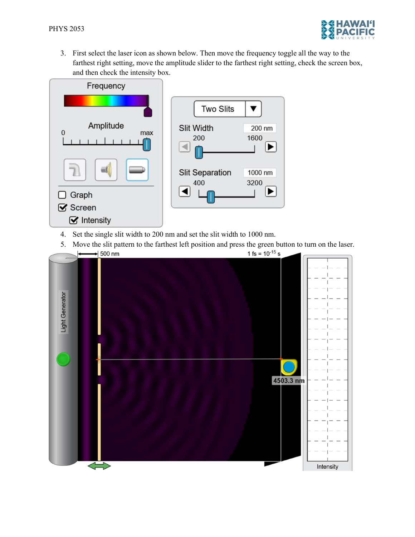

3. First select the laser icon as shown below. Then move the frequency toggle all the way to the farthest right setting, move the amplitude slider to the farthest right setting, check the screen box, and then check the intensity box.



- 4. Set the single slit width to 200 nm and set the slit width to 1000 nm.
- 5. Move the slit pattern to the farthest left position and press the green button to turn on the laser. 1 fs =  $10^{-15}$  s  $\blacktriangleright$  500 nm  $\left| \bullet \right|$

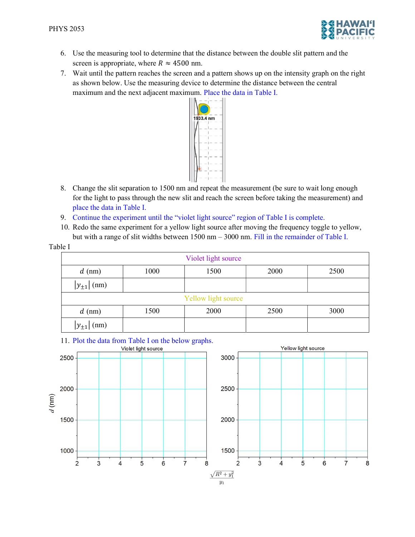Table I



- 6. Use the measuring tool to determine that the distance between the double slit pattern and the screen is appropriate, where  $R \approx 4500$  nm.
- 7. Wait until the pattern reaches the screen and a pattern shows up on the intensity graph on the right as shown below. Use the measuring device to determine the distance between the central maximum and the next adjacent maximum. Place the data in Table I.



- 8. Change the slit separation to 1500 nm and repeat the measurement (be sure to wait long enough for the light to pass through the new slit and reach the screen before taking the measurement) and place the data in Table I.
- 9. Continue the experiment until the "violet light source" region of Table I is complete.
- 10. Redo the same experiment for a yellow light source after moving the frequency toggle to yellow, but with a range of slit widths between 1500 nm – 3000 nm. Fill in the remainder of Table I.

| Violet light source |      |      |      |      |
|---------------------|------|------|------|------|
| $d$ (nm)            | 1000 | 1500 | 2000 | 2500 |
| $ y_{\pm 1} $ (nm)  |      |      |      |      |
| Yellow light source |      |      |      |      |
| $d$ (nm)            | 1500 | 2000 | 2500 | 3000 |
| (nm)<br>$y_{\pm 1}$ |      |      |      |      |